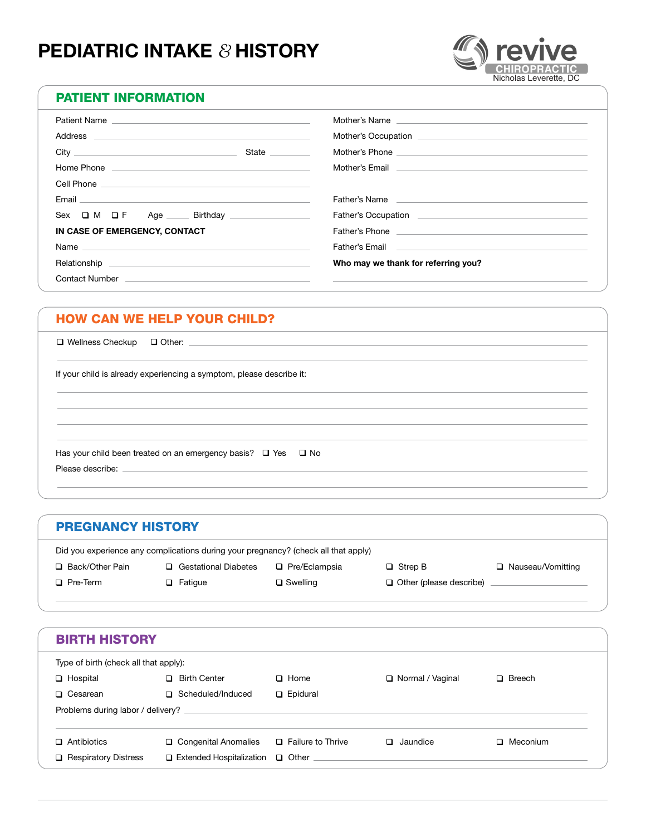# **PEDIATRIC INTAKE** *&* **HISTORY**



#### PATIENT INFORMATION

| Patient Name                                                                                                                                                                                                                         |                 |                                                                                                                                                                                                                                      |
|--------------------------------------------------------------------------------------------------------------------------------------------------------------------------------------------------------------------------------------|-----------------|--------------------------------------------------------------------------------------------------------------------------------------------------------------------------------------------------------------------------------------|
|                                                                                                                                                                                                                                      |                 |                                                                                                                                                                                                                                      |
|                                                                                                                                                                                                                                      | State _________ |                                                                                                                                                                                                                                      |
| Home Phone <b>contract the contract of the contract of the contract of the contract of the contract of the contract of the contract of the contract of the contract of the contract of the contract of the contract of the contr</b> |                 | Mother's Email <b>Experience and Contract Contract Contract Contract Contract Contract Contract Contract Contract Contract Contract Contract Contract Contract Contract Contract Contract Contract Contract Contract Contract Co</b> |
|                                                                                                                                                                                                                                      |                 |                                                                                                                                                                                                                                      |
|                                                                                                                                                                                                                                      |                 | Father's Name <b>contract the contract of the contract of the contract of the contract of the contract of the contract of the contract of the contract of the contract of the contract of the contract of the contract of the co</b> |
| $Sex$ $\Box$ M $\Box$ F Age $\Box$ Birthday $\Box$                                                                                                                                                                                   |                 |                                                                                                                                                                                                                                      |
| IN CASE OF EMERGENCY, CONTACT                                                                                                                                                                                                        |                 |                                                                                                                                                                                                                                      |
| Name and the contract of the contract of the contract of the contract of the contract of the contract of the contract of the contract of the contract of the contract of the contract of the contract of the contract of the c       |                 | Father's Email <b>Explorer Control Control</b> Property of the Control Control Control Control Control Control Control Control Control Control Control Control Control Control Control Control Control Control Control Control Cont  |
|                                                                                                                                                                                                                                      |                 | Who may we thank for referring you?                                                                                                                                                                                                  |
|                                                                                                                                                                                                                                      |                 |                                                                                                                                                                                                                                      |

#### HOW CAN WE HELP YOUR CHILD?

 $\Box$  Wellness Checkup  $\Box$  Other:

If your child is already experiencing a symptom, please describe it:

Has your child been treated on an emergency basis?  $\Box$  Yes  $\Box$  No Please describe:

#### PREGNANCY HISTORY

|                   | Did you experience any complications during your pregnancy? (check all that apply) |                      |                           |                     |
|-------------------|------------------------------------------------------------------------------------|----------------------|---------------------------|---------------------|
| □ Back/Other Pain | <b>Gestational Diabetes</b>                                                        | $\Box$ Pre/Eclampsia | $\Box$ Strep B            | □ Nauseau/Vomitting |
| $\Box$ Pre-Term   | $\Box$ Fatique                                                                     | $\Box$ Swelling      | □ Other (please describe) |                     |
|                   |                                                                                    |                      |                           |                     |
|                   |                                                                                    |                      |                           |                     |
|                   |                                                                                    |                      |                           |                     |

| <b>BIRTH HISTORY</b>                  |                                 |                   |                    |               |
|---------------------------------------|---------------------------------|-------------------|--------------------|---------------|
| Type of birth (check all that apply): |                                 |                   |                    |               |
| $\Box$ Hospital                       | <b>Birth Center</b><br>П.       | $\Box$ Home       | □ Normal / Vaginal | $\Box$ Breech |
| $\Box$ Cesarean                       | □ Scheduled/Induced             | $\Box$ Epidural   |                    |               |
| Problems during labor / delivery?     |                                 |                   |                    |               |
|                                       |                                 |                   |                    |               |
| $\Box$ Antibiotics                    | □ Congenital Anomalies          | Failure to Thrive | Jaundice<br>П      | □ Meconium    |
| <b>Respiratory Distress</b><br>◻      | $\Box$ Extended Hospitalization | □ Other           |                    |               |